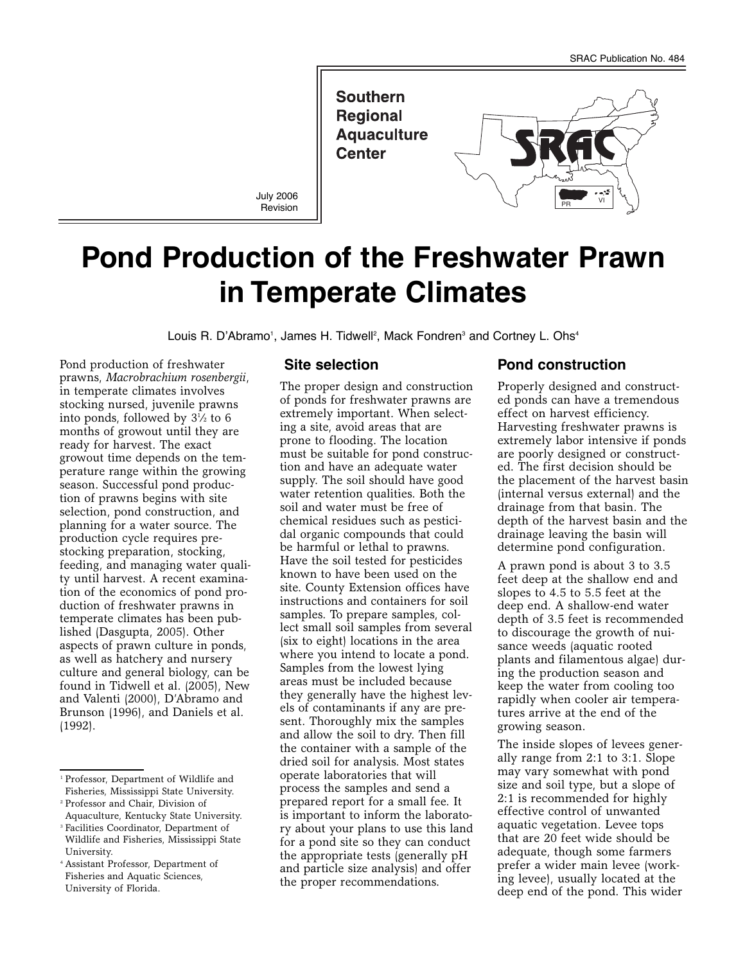

# **Pond Production of the Freshwater Prawn in Temperate Climates**

Louis R. D'Abramo<sup>1</sup>, James H. Tidwell<sup>2</sup>, Mack Fondren<sup>3</sup> and Cortney L. Ohs<sup>4</sup>

Pond production of freshwater prawns, *Macrobrachium rosenbergii*, in temperate climates involves stocking nursed, juvenile prawns into ponds, followed by 31 ⁄2 to 6 months of growout until they are ready for harvest. The exact growout time depends on the temperature range within the growing season. Successful pond production of prawns begins with site selection, pond construction, and planning for a water source. The production cycle requires prestocking preparation, stocking, feeding, and managing water quality until harvest. A recent examination of the economics of pond production of freshwater prawns in temperate climates has been published (Dasgupta, 2005). Other aspects of prawn culture in ponds, as well as hatchery and nursery culture and general biology, can be found in Tidwell et al. (2005), New and Valenti (2000), D'Abramo and Brunson (1996), and Daniels et al. (1992).

#### **Site selection**

The proper design and construction of ponds for freshwater prawns are extremely important. When selecting a site, avoid areas that are prone to flooding. The location must be suitable for pond construction and have an adequate water supply. The soil should have good water retention qualities. Both the soil and water must be free of chemical residues such as pesticidal organic compounds that could be harmful or lethal to prawns. Have the soil tested for pesticides known to have been used on the site. County Extension offices have instructions and containers for soil samples. To prepare samples, collect small soil samples from several (six to eight) locations in the area where you intend to locate a pond. Samples from the lowest lying areas must be included because they generally have the highest levels of contaminants if any are present. Thoroughly mix the samples and allow the soil to dry. Then fill the container with a sample of the dried soil for analysis. Most states operate laboratories that will process the samples and send a prepared report for a small fee. It is important to inform the laboratory about your plans to use this land for a pond site so they can conduct the appropriate tests (generally pH and particle size analysis) and offer the proper recommendations.

## **Pond construction**

Properly designed and constructed ponds can have a tremendous effect on harvest efficiency. Harvesting freshwater prawns is extremely labor intensive if ponds are poorly designed or constructed. The first decision should be the placement of the harvest basin (internal versus external) and the drainage from that basin. The depth of the harvest basin and the drainage leaving the basin will determine pond configuration.

A prawn pond is about 3 to 3.5 feet deep at the shallow end and slopes to 4.5 to 5.5 feet at the deep end. A shallow-end water depth of 3.5 feet is recommended to discourage the growth of nuisance weeds (aquatic rooted plants and filamentous algae) during the production season and keep the water from cooling too rapidly when cooler air temperatures arrive at the end of the growing season.

The inside slopes of levees generally range from 2:1 to 3:1. Slope may vary somewhat with pond size and soil type, but a slope of 2:1 is recommended for highly effective control of unwanted aquatic vegetation. Levee tops that are 20 feet wide should be adequate, though some farmers prefer a wider main levee (working levee), usually located at the deep end of the pond. This wider

<sup>1</sup> Professor, Department of Wildlife and Fisheries, Mississippi State University.

<sup>2</sup> Professor and Chair, Division of Aquaculture, Kentucky State University.

<sup>&</sup>lt;sup>3</sup> Facilities Coordinator, Department of Wildlife and Fisheries, Mississippi State University.

<sup>4</sup> Assistant Professor, Department of Fisheries and Aquatic Sciences, University of Florida.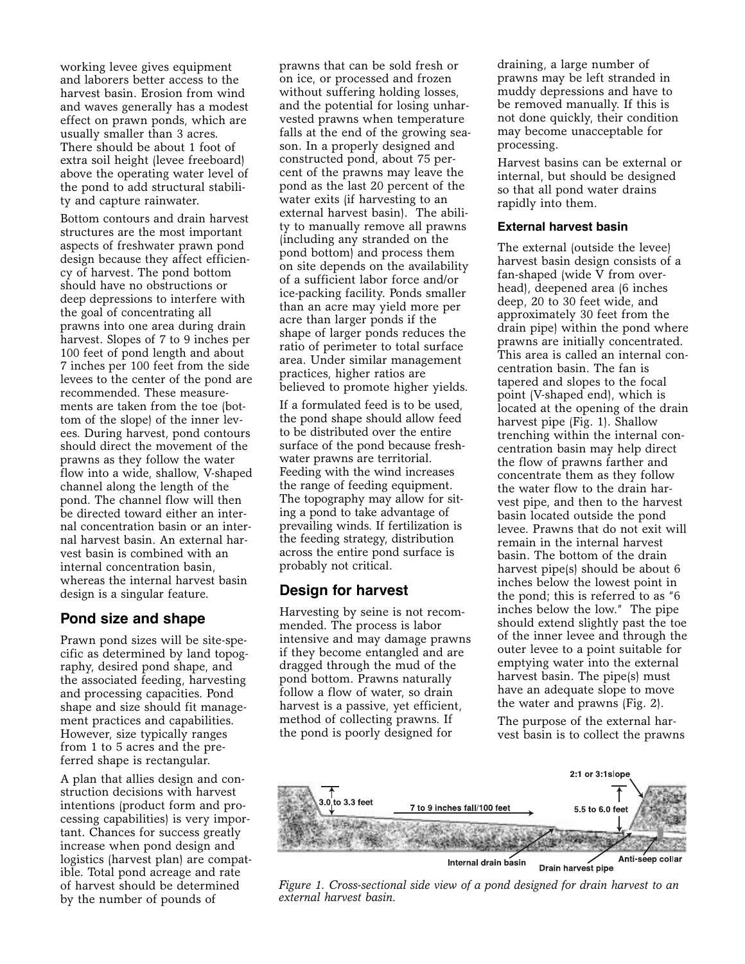working levee gives equipment and laborers better access to the harvest basin. Erosion from wind and waves generally has a modest effect on prawn ponds, which are usually smaller than 3 acres. There should be about 1 foot of extra soil height (levee freeboard) above the operating water level of the pond to add structural stability and capture rainwater.

Bottom contours and drain harvest structures are the most important aspects of freshwater prawn pond design because they affect efficiency of harvest. The pond bottom should have no obstructions or deep depressions to interfere with the goal of concentrating all prawns into one area during drain harvest. Slopes of 7 to 9 inches per 100 feet of pond length and about 7 inches per 100 feet from the side levees to the center of the pond are recommended. These measurements are taken from the toe (bottom of the slope) of the inner levees. During harvest, pond contours should direct the movement of the prawns as they follow the water flow into a wide, shallow, V-shaped channel along the length of the pond. The channel flow will then be directed toward either an internal concentration basin or an internal harvest basin. An external harvest basin is combined with an internal concentration basin, whereas the internal harvest basin design is a singular feature.

## **Pond size and shape**

Prawn pond sizes will be site-specific as determined by land topography, desired pond shape, and the associated feeding, harvesting and processing capacities. Pond shape and size should fit management practices and capabilities. However, size typically ranges from 1 to 5 acres and the preferred shape is rectangular.

A plan that allies design and construction decisions with harvest intentions (product form and processing capabilities) is very important. Chances for success greatly increase when pond design and logistics (harvest plan) are compatible. Total pond acreage and rate of harvest should be determined by the number of pounds of

prawns that can be sold fresh or on ice, or processed and frozen without suffering holding losses, and the potential for losing unharvested prawns when temperature falls at the end of the growing season. In a properly designed and constructed pond, about 75 percent of the prawns may leave the pond as the last 20 percent of the water exits (if harvesting to an external harvest basin). The ability to manually remove all prawns (including any stranded on the pond bottom) and process them on site depends on the availability of a sufficient labor force and/or ice-packing facility. Ponds smaller than an acre may yield more per acre than larger ponds if the shape of larger ponds reduces the ratio of perimeter to total surface area. Under similar management practices, higher ratios are believed to promote higher yields.

If a formulated feed is to be used, the pond shape should allow feed to be distributed over the entire surface of the pond because freshwater prawns are territorial. Feeding with the wind increases the range of feeding equipment. The topography may allow for siting a pond to take advantage of prevailing winds. If fertilization is the feeding strategy, distribution across the entire pond surface is probably not critical.

## **Design for harvest**

Harvesting by seine is not recommended. The process is labor intensive and may damage prawns if they become entangled and are dragged through the mud of the pond bottom. Prawns naturally follow a flow of water, so drain harvest is a passive, yet efficient, method of collecting prawns. If the pond is poorly designed for

draining, a large number of prawns may be left stranded in muddy depressions and have to be removed manually. If this is not done quickly, their condition may become unacceptable for processing.

Harvest basins can be external or internal, but should be designed so that all pond water drains rapidly into them.

#### **External harvest basin**

The external (outside the levee) harvest basin design consists of a fan-shaped (wide V from overhead), deepened area (6 inches deep, 20 to 30 feet wide, and approximately 30 feet from the drain pipe) within the pond where prawns are initially concentrated. This area is called an internal concentration basin. The fan is tapered and slopes to the focal point (V-shaped end), which is located at the opening of the drain harvest pipe (Fig. 1). Shallow trenching within the internal concentration basin may help direct the flow of prawns farther and concentrate them as they follow the water flow to the drain harvest pipe, and then to the harvest basin located outside the pond levee. Prawns that do not exit will remain in the internal harvest basin. The bottom of the drain harvest pipe(s) should be about 6 inches below the lowest point in the pond; this is referred to as "6 inches below the low." The pipe should extend slightly past the toe of the inner levee and through the outer levee to a point suitable for emptying water into the external harvest basin. The pipe(s) must have an adequate slope to move the water and prawns (Fig. 2).

The purpose of the external harvest basin is to collect the prawns



*Figure 1. Cross-sectional side view of a pond designed for drain harvest to an external harvest basin.*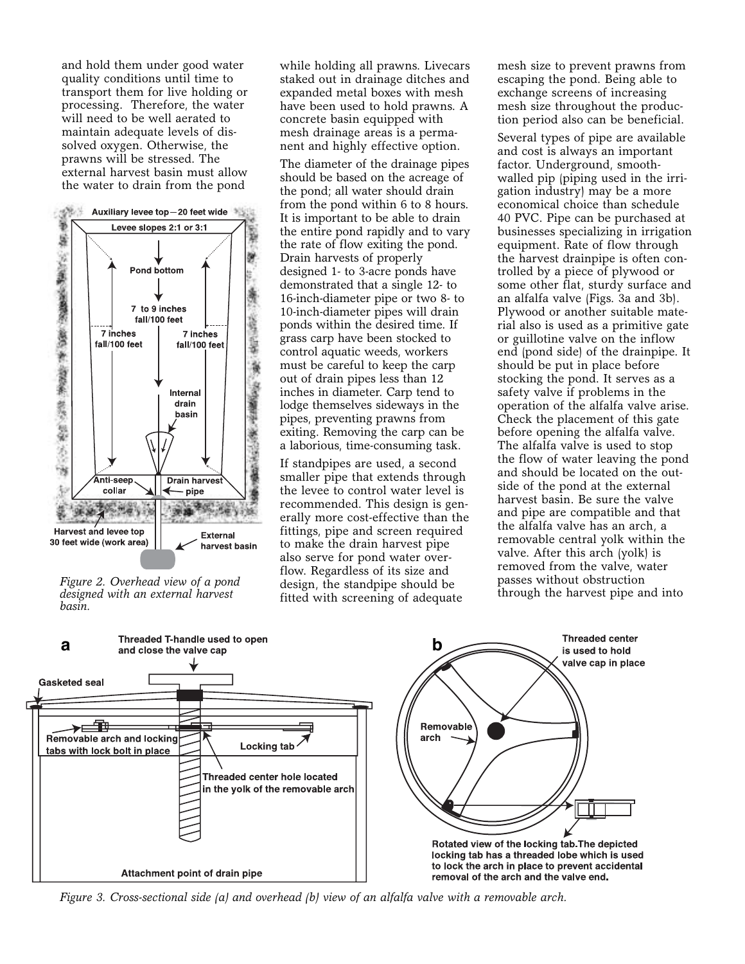and hold them under good water quality conditions until time to transport them for live holding or processing. Therefore, the water will need to be well aerated to maintain adequate levels of dissolved oxygen. Otherwise, the prawns will be stressed. The external harvest basin must allow the water to drain from the pond



*Figure 2. Overhead view of a pond designed with an external harvest basin.*

while holding all prawns. Livecars staked out in drainage ditches and expanded metal boxes with mesh have been used to hold prawns. A concrete basin equipped with mesh drainage areas is a permanent and highly effective option.

The diameter of the drainage pipes should be based on the acreage of the pond; all water should drain from the pond within 6 to 8 hours. It is important to be able to drain the entire pond rapidly and to vary the rate of flow exiting the pond. Drain harvests of properly designed 1- to 3-acre ponds have demonstrated that a single 12- to 16-inch-diameter pipe or two 8- to 10-inch-diameter pipes will drain ponds within the desired time. If grass carp have been stocked to control aquatic weeds, workers must be careful to keep the carp out of drain pipes less than 12 inches in diameter. Carp tend to lodge themselves sideways in the pipes, preventing prawns from exiting. Removing the carp can be a laborious, time-consuming task.

If standpipes are used, a second smaller pipe that extends through the levee to control water level is recommended. This design is generally more cost-effective than the fittings, pipe and screen required to make the drain harvest pipe also serve for pond water overflow. Regardless of its size and design, the standpipe should be fitted with screening of adequate

mesh size to prevent prawns from escaping the pond. Being able to exchange screens of increasing mesh size throughout the production period also can be beneficial.

Several types of pipe are available and cost is always an important factor. Underground, smoothwalled pip (piping used in the irrigation industry) may be a more economical choice than schedule 40 PVC. Pipe can be purchased at businesses specializing in irrigation equipment. Rate of flow through the harvest drainpipe is often controlled by a piece of plywood or some other flat, sturdy surface and an alfalfa valve (Figs. 3a and 3b). Plywood or another suitable material also is used as a primitive gate or guillotine valve on the inflow end (pond side) of the drainpipe. It should be put in place before stocking the pond. It serves as a safety valve if problems in the operation of the alfalfa valve arise. Check the placement of this gate before opening the alfalfa valve. The alfalfa valve is used to stop the flow of water leaving the pond and should be located on the outside of the pond at the external harvest basin. Be sure the valve and pipe are compatible and that the alfalfa valve has an arch, a removable central yolk within the valve. After this arch (yolk) is removed from the valve, water passes without obstruction through the harvest pipe and into



*Figure 3. Cross-sectional side (a) and overhead (b) view of an alfalfa valve with a removable arch.*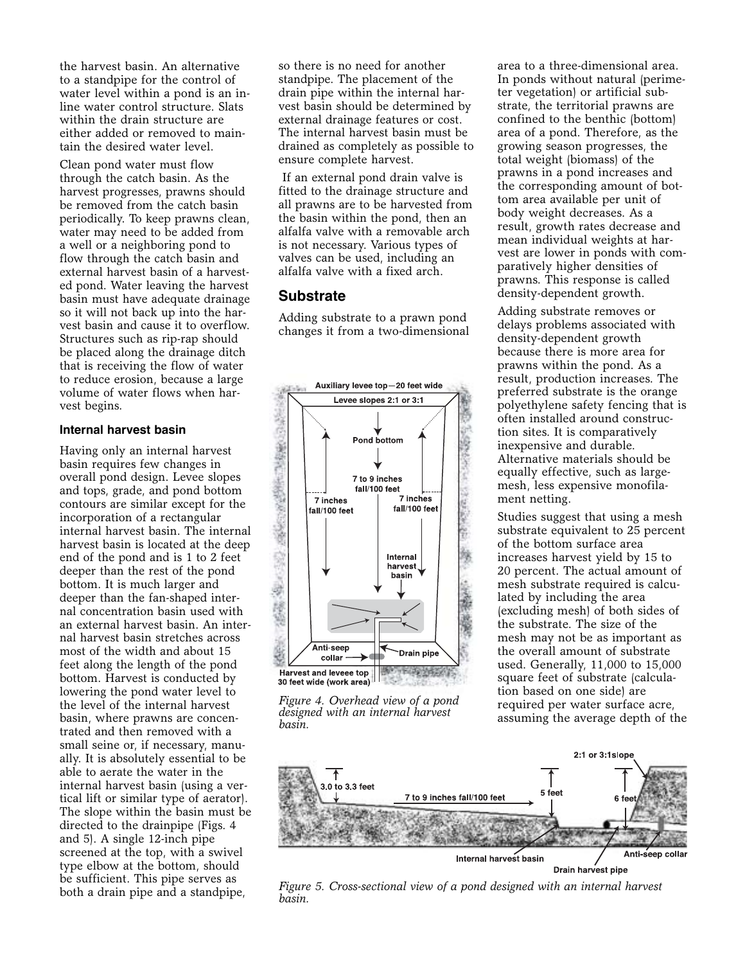the harvest basin. An alternative to a standpipe for the control of water level within a pond is an inline water control structure. Slats within the drain structure are either added or removed to maintain the desired water level.

Clean pond water must flow through the catch basin. As the harvest progresses, prawns should be removed from the catch basin periodically. To keep prawns clean, water may need to be added from a well or a neighboring pond to flow through the catch basin and external harvest basin of a harvested pond. Water leaving the harvest basin must have adequate drainage so it will not back up into the harvest basin and cause it to overflow. Structures such as rip-rap should be placed along the drainage ditch that is receiving the flow of water to reduce erosion, because a large volume of water flows when harvest begins.

#### **Internal harvest basin**

Having only an internal harvest basin requires few changes in overall pond design. Levee slopes and tops, grade, and pond bottom contours are similar except for the incorporation of a rectangular internal harvest basin. The internal harvest basin is located at the deep end of the pond and is 1 to 2 feet deeper than the rest of the pond bottom. It is much larger and deeper than the fan-shaped internal concentration basin used with an external harvest basin. An internal harvest basin stretches across most of the width and about 15 feet along the length of the pond bottom. Harvest is conducted by lowering the pond water level to the level of the internal harvest basin, where prawns are concentrated and then removed with a small seine or, if necessary, manually. It is absolutely essential to be able to aerate the water in the internal harvest basin (using a vertical lift or similar type of aerator). The slope within the basin must be directed to the drainpipe (Figs. 4 and 5). A single 12-inch pipe screened at the top, with a swivel type elbow at the bottom, should be sufficient. This pipe serves as both a drain pipe and a standpipe,

so there is no need for another standpipe. The placement of the drain pipe within the internal harvest basin should be determined by external drainage features or cost. The internal harvest basin must be drained as completely as possible to ensure complete harvest.

If an external pond drain valve is fitted to the drainage structure and all prawns are to be harvested from the basin within the pond, then an alfalfa valve with a removable arch is not necessary. Various types of valves can be used, including an alfalfa valve with a fixed arch.

## **Substrate**

Adding substrate to a prawn pond changes it from a two-dimensional



*Figure 4. Overhead view of a pond designed with an internal harvest basin.*

area to a three-dimensional area. In ponds without natural (perimeter vegetation) or artificial substrate, the territorial prawns are confined to the benthic (bottom) area of a pond. Therefore, as the growing season progresses, the total weight (biomass) of the prawns in a pond increases and the corresponding amount of bottom area available per unit of body weight decreases. As a result, growth rates decrease and mean individual weights at harvest are lower in ponds with comparatively higher densities of prawns. This response is called density-dependent growth.

Adding substrate removes or delays problems associated with density-dependent growth because there is more area for prawns within the pond. As a result, production increases. The preferred substrate is the orange polyethylene safety fencing that is often installed around construction sites. It is comparatively inexpensive and durable. Alternative materials should be equally effective, such as largemesh, less expensive monofilament netting.

Studies suggest that using a mesh substrate equivalent to 25 percent of the bottom surface area increases harvest yield by 15 to 20 percent. The actual amount of mesh substrate required is calculated by including the area (excluding mesh) of both sides of the substrate. The size of the mesh may not be as important as the overall amount of substrate used. Generally, 11,000 to 15,000 square feet of substrate (calculation based on one side) are required per water surface acre, assuming the average depth of the



*Figure 5. Cross-sectional view of a pond designed with an internal harvest basin.*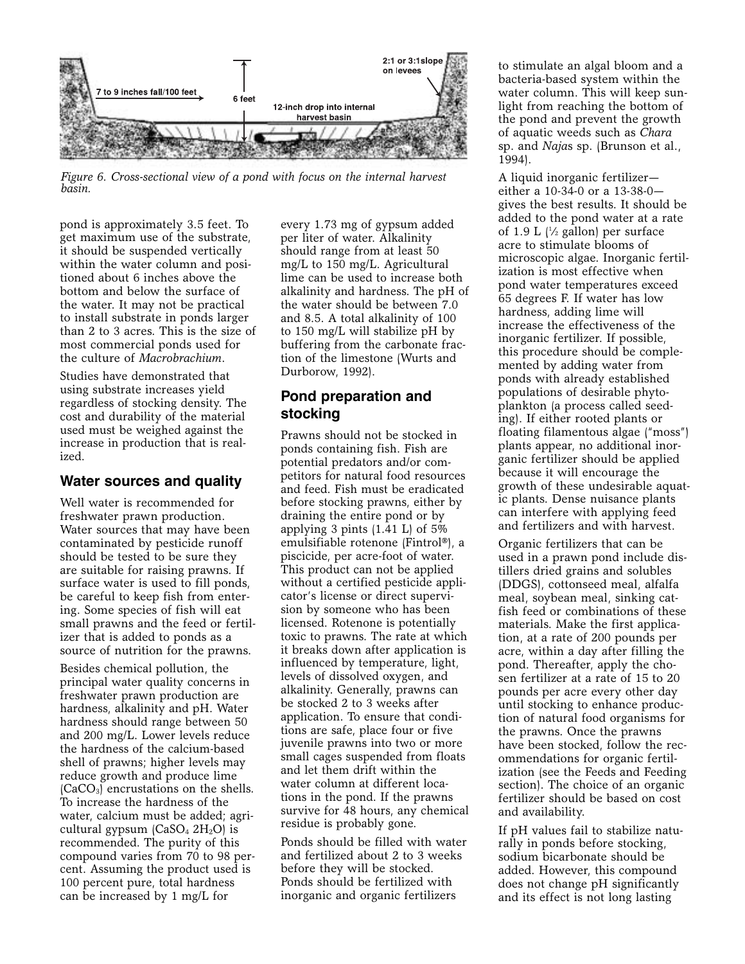

*Figure 6. Cross-sectional view of a pond with focus on the internal harvest basin.* 

pond is approximately 3.5 feet. To get maximum use of the substrate, it should be suspended vertically within the water column and positioned about 6 inches above the bottom and below the surface of the water. It may not be practical to install substrate in ponds larger than 2 to 3 acres. This is the size of most commercial ponds used for the culture of *Macrobrachium*.

Studies have demonstrated that using substrate increases yield regardless of stocking density. The cost and durability of the material used must be weighed against the increase in production that is realized.

## **Water sources and quality**

Well water is recommended for freshwater prawn production. Water sources that may have been contaminated by pesticide runoff should be tested to be sure they are suitable for raising prawns. If surface water is used to fill ponds, be careful to keep fish from entering. Some species of fish will eat small prawns and the feed or fertilizer that is added to ponds as a source of nutrition for the prawns.

Besides chemical pollution, the principal water quality concerns in freshwater prawn production are hardness, alkalinity and pH. Water hardness should range between 50 and 200 mg/L. Lower levels reduce the hardness of the calcium-based shell of prawns; higher levels may reduce growth and produce lime  $(CaCO<sub>3</sub>)$  encrustations on the shells. To increase the hardness of the water, calcium must be added; agricultural gypsum  $(CaSO<sub>4</sub> 2H<sub>2</sub>O)$  is recommended. The purity of this compound varies from 70 to 98 percent. Assuming the product used is 100 percent pure, total hardness can be increased by 1 mg/L for

every 1.73 mg of gypsum added per liter of water. Alkalinity should range from at least 50 mg/L to 150 mg/L. Agricultural lime can be used to increase both alkalinity and hardness. The pH of the water should be between 7.0 and 8.5. A total alkalinity of 100 to 150 mg/L will stabilize pH by buffering from the carbonate fraction of the limestone (Wurts and Durborow, 1992).

# **Pond preparation and stocking**

Prawns should not be stocked in ponds containing fish. Fish are potential predators and/or competitors for natural food resources and feed. Fish must be eradicated before stocking prawns, either by draining the entire pond or by applying 3 pints (1.41 L) of 5% emulsifiable rotenone (Fintrol®), a piscicide, per acre-foot of water. This product can not be applied without a certified pesticide applicator's license or direct supervision by someone who has been licensed. Rotenone is potentially toxic to prawns. The rate at which it breaks down after application is influenced by temperature, light, levels of dissolved oxygen, and alkalinity. Generally, prawns can be stocked 2 to 3 weeks after application. To ensure that conditions are safe, place four or five juvenile prawns into two or more small cages suspended from floats and let them drift within the water column at different locations in the pond. If the prawns survive for 48 hours, any chemical residue is probably gone.

Ponds should be filled with water and fertilized about 2 to 3 weeks before they will be stocked. Ponds should be fertilized with inorganic and organic fertilizers

to stimulate an algal bloom and a bacteria-based system within the water column. This will keep sunlight from reaching the bottom of the pond and prevent the growth of aquatic weeds such as *Chara* sp. and *Naja*s sp. (Brunson et al., 1994).

A liquid inorganic fertilizer either a 10-34-0 or a 13-38-0 gives the best results. It should be added to the pond water at a rate of 1.9 L  $\frac{1}{2}$  gallon) per surface acre to stimulate blooms of microscopic algae. Inorganic fertilization is most effective when pond water temperatures exceed 65 degrees F. If water has low hardness, adding lime will increase the effectiveness of the inorganic fertilizer. If possible, this procedure should be complemented by adding water from ponds with already established populations of desirable phytoplankton (a process called seeding). If either rooted plants or floating filamentous algae ("moss") plants appear, no additional inorganic fertilizer should be applied because it will encourage the growth of these undesirable aquatic plants. Dense nuisance plants can interfere with applying feed and fertilizers and with harvest.

Organic fertilizers that can be used in a prawn pond include distillers dried grains and solubles (DDGS), cottonseed meal, alfalfa meal, soybean meal, sinking catfish feed or combinations of these materials. Make the first application, at a rate of 200 pounds per acre, within a day after filling the pond. Thereafter, apply the chosen fertilizer at a rate of 15 to 20 pounds per acre every other day until stocking to enhance production of natural food organisms for the prawns. Once the prawns have been stocked, follow the recommendations for organic fertilization (see the Feeds and Feeding section). The choice of an organic fertilizer should be based on cost and availability.

If pH values fail to stabilize naturally in ponds before stocking, sodium bicarbonate should be added. However, this compound does not change pH significantly and its effect is not long lasting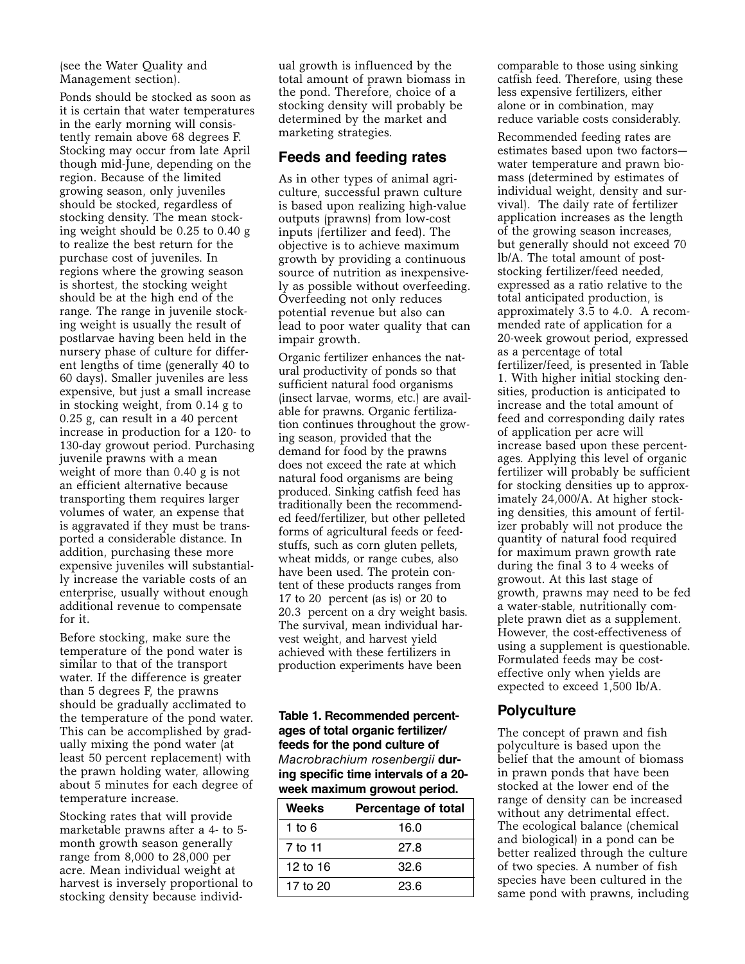(see the Water Quality and Management section).

Ponds should be stocked as soon as it is certain that water temperatures in the early morning will consistently remain above 68 degrees F. Stocking may occur from late April though mid-June, depending on the region. Because of the limited growing season, only juveniles should be stocked, regardless of stocking density. The mean stocking weight should be 0.25 to 0.40 g to realize the best return for the purchase cost of juveniles. In regions where the growing season is shortest, the stocking weight should be at the high end of the range. The range in juvenile stocking weight is usually the result of postlarvae having been held in the nursery phase of culture for different lengths of time (generally 40 to 60 days). Smaller juveniles are less expensive, but just a small increase in stocking weight, from 0.14 g to 0.25 g, can result in a 40 percent increase in production for a 120- to 130-day growout period. Purchasing juvenile prawns with a mean weight of more than 0.40 g is not an efficient alternative because transporting them requires larger volumes of water, an expense that is aggravated if they must be transported a considerable distance. In addition, purchasing these more expensive juveniles will substantially increase the variable costs of an enterprise, usually without enough additional revenue to compensate for it.

Before stocking, make sure the temperature of the pond water is similar to that of the transport water. If the difference is greater than 5 degrees F, the prawns should be gradually acclimated to the temperature of the pond water. This can be accomplished by gradually mixing the pond water (at least 50 percent replacement) with the prawn holding water, allowing about 5 minutes for each degree of temperature increase.

Stocking rates that will provide marketable prawns after a 4- to 5 month growth season generally range from 8,000 to 28,000 per acre. Mean individual weight at harvest is inversely proportional to stocking density because individual growth is influenced by the total amount of prawn biomass in the pond. Therefore, choice of a stocking density will probably be determined by the market and marketing strategies.

#### **Feeds and feeding rates**

As in other types of animal agriculture, successful prawn culture is based upon realizing high-value outputs (prawns) from low-cost inputs (fertilizer and feed). The objective is to achieve maximum growth by providing a continuous source of nutrition as inexpensively as possible without overfeeding. Overfeeding not only reduces potential revenue but also can lead to poor water quality that can impair growth.

Organic fertilizer enhances the natural productivity of ponds so that sufficient natural food organisms (insect larvae, worms, etc.) are available for prawns. Organic fertilization continues throughout the growing season, provided that the demand for food by the prawns does not exceed the rate at which natural food organisms are being produced. Sinking catfish feed has traditionally been the recommended feed/fertilizer, but other pelleted forms of agricultural feeds or feedstuffs, such as corn gluten pellets, wheat midds, or range cubes, also have been used. The protein content of these products ranges from 17 to 20 percent (as is) or 20 to 20.3 percent on a dry weight basis. The survival, mean individual harvest weight, and harvest yield achieved with these fertilizers in production experiments have been

**Table 1. Recommended percentages of total organic fertilizer/ feeds for the pond culture of** *Macrobrachium rosenbergii* **during specific time intervals of a 20 week maximum growout period.**

| Weeks    | Percentage of total |
|----------|---------------------|
| 1 to 6   | 16.0                |
| 7 to 11  | 27.8                |
| 12 to 16 | 32.6                |
| 17 to 20 | 23.6                |

comparable to those using sinking catfish feed. Therefore, using these less expensive fertilizers, either alone or in combination, may reduce variable costs considerably.

Recommended feeding rates are estimates based upon two factors water temperature and prawn biomass (determined by estimates of individual weight, density and survival). The daily rate of fertilizer application increases as the length of the growing season increases, but generally should not exceed 70 lb/A. The total amount of poststocking fertilizer/feed needed, expressed as a ratio relative to the total anticipated production, is approximately 3.5 to 4.0. A recommended rate of application for a 20-week growout period, expressed as a percentage of total fertilizer/feed, is presented in Table 1. With higher initial stocking densities, production is anticipated to increase and the total amount of feed and corresponding daily rates of application per acre will increase based upon these percentages. Applying this level of organic fertilizer will probably be sufficient for stocking densities up to approximately 24,000/A. At higher stocking densities, this amount of fertilizer probably will not produce the quantity of natural food required for maximum prawn growth rate during the final 3 to 4 weeks of growout. At this last stage of growth, prawns may need to be fed a water-stable, nutritionally complete prawn diet as a supplement. However, the cost-effectiveness of using a supplement is questionable. Formulated feeds may be costeffective only when yields are expected to exceed 1,500 lb/A.

## **Polyculture**

The concept of prawn and fish polyculture is based upon the belief that the amount of biomass in prawn ponds that have been stocked at the lower end of the range of density can be increased without any detrimental effect. The ecological balance (chemical and biological) in a pond can be better realized through the culture of two species. A number of fish species have been cultured in the same pond with prawns, including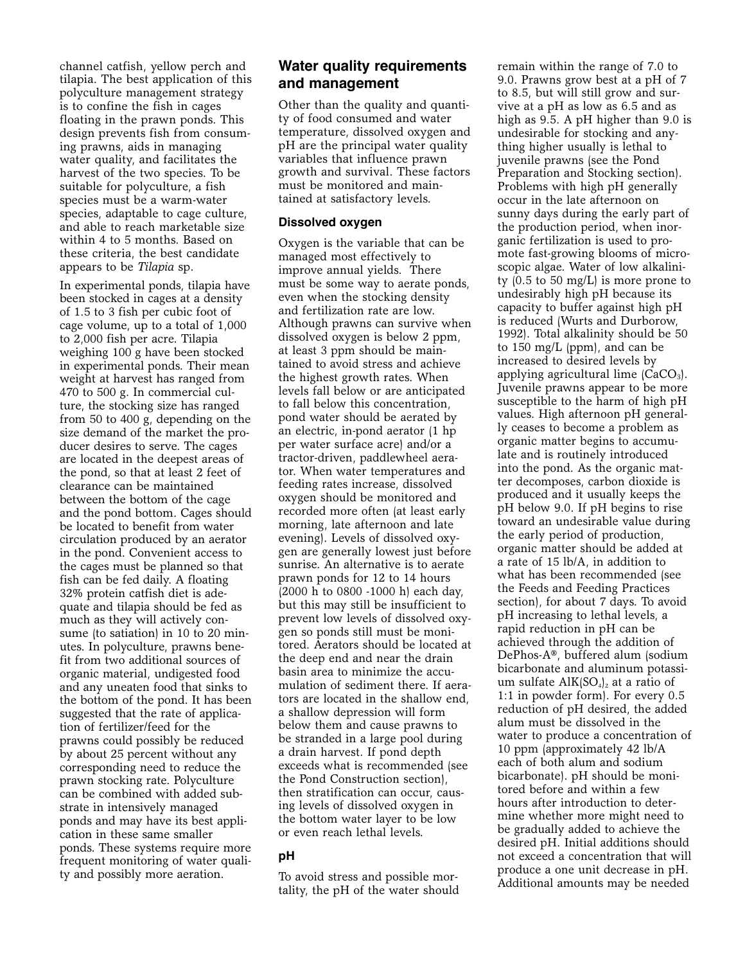channel catfish, yellow perch and tilapia. The best application of this polyculture management strategy is to confine the fish in cages floating in the prawn ponds. This design prevents fish from consuming prawns, aids in managing water quality, and facilitates the harvest of the two species. To be suitable for polyculture, a fish species must be a warm-water species, adaptable to cage culture, and able to reach marketable size within 4 to 5 months. Based on these criteria, the best candidate appears to be *Tilapia* sp.

In experimental ponds, tilapia have been stocked in cages at a density of 1.5 to 3 fish per cubic foot of cage volume, up to a total of 1,000 to 2,000 fish per acre. Tilapia weighing 100 g have been stocked in experimental ponds. Their mean weight at harvest has ranged from 470 to 500 g. In commercial culture, the stocking size has ranged from 50 to 400 g, depending on the size demand of the market the producer desires to serve. The cages are located in the deepest areas of the pond, so that at least 2 feet of clearance can be maintained between the bottom of the cage and the pond bottom. Cages should be located to benefit from water circulation produced by an aerator in the pond. Convenient access to the cages must be planned so that fish can be fed daily. A floating 32% protein catfish diet is adequate and tilapia should be fed as much as they will actively consume (to satiation) in 10 to 20 minutes. In polyculture, prawns benefit from two additional sources of organic material, undigested food and any uneaten food that sinks to the bottom of the pond. It has been suggested that the rate of application of fertilizer/feed for the prawns could possibly be reduced by about 25 percent without any corresponding need to reduce the prawn stocking rate. Polyculture can be combined with added substrate in intensively managed ponds and may have its best application in these same smaller ponds. These systems require more frequent monitoring of water quality and possibly more aeration.

# **Water quality requirements and management**

Other than the quality and quantity of food consumed and water temperature, dissolved oxygen and pH are the principal water quality variables that influence prawn growth and survival. These factors must be monitored and maintained at satisfactory levels.

#### **Dissolved oxygen**

Oxygen is the variable that can be managed most effectively to improve annual yields. There must be some way to aerate ponds, even when the stocking density and fertilization rate are low. Although prawns can survive when dissolved oxygen is below 2 ppm, at least 3 ppm should be maintained to avoid stress and achieve the highest growth rates. When levels fall below or are anticipated to fall below this concentration, pond water should be aerated by an electric, in-pond aerator (1 hp per water surface acre) and/or a tractor-driven, paddlewheel aerator. When water temperatures and feeding rates increase, dissolved oxygen should be monitored and recorded more often (at least early morning, late afternoon and late evening). Levels of dissolved oxygen are generally lowest just before sunrise. An alternative is to aerate prawn ponds for 12 to 14 hours (2000 h to 0800 -1000 h) each day, but this may still be insufficient to prevent low levels of dissolved oxygen so ponds still must be monitored. Aerators should be located at the deep end and near the drain basin area to minimize the accumulation of sediment there. If aerators are located in the shallow end, a shallow depression will form below them and cause prawns to be stranded in a large pool during a drain harvest. If pond depth exceeds what is recommended (see the Pond Construction section), then stratification can occur, causing levels of dissolved oxygen in the bottom water layer to be low or even reach lethal levels.

## **pH**

To avoid stress and possible mortality, the pH of the water should remain within the range of 7.0 to 9.0. Prawns grow best at a pH of 7 to 8.5, but will still grow and survive at a pH as low as 6.5 and as high as 9.5. A pH higher than 9.0 is undesirable for stocking and anything higher usually is lethal to juvenile prawns (see the Pond Preparation and Stocking section). Problems with high pH generally occur in the late afternoon on sunny days during the early part of the production period, when inorganic fertilization is used to promote fast-growing blooms of microscopic algae. Water of low alkalinity  $(0.5 \text{ to } 50 \text{ mg/L})$  is more prone to undesirably high pH because its capacity to buffer against high pH is reduced (Wurts and Durborow, 1992). Total alkalinity should be 50 to 150 mg/L (ppm), and can be increased to desired levels by applying agricultural lime  $(CaCO<sub>3</sub>)$ . Juvenile prawns appear to be more susceptible to the harm of high pH values. High afternoon pH generally ceases to become a problem as organic matter begins to accumulate and is routinely introduced into the pond. As the organic matter decomposes, carbon dioxide is produced and it usually keeps the pH below 9.0. If pH begins to rise toward an undesirable value during the early period of production, organic matter should be added at a rate of 15 lb/A, in addition to what has been recommended (see the Feeds and Feeding Practices section), for about 7 days. To avoid pH increasing to lethal levels, a rapid reduction in pH can be achieved through the addition of DePhos-A®, buffered alum (sodium bicarbonate and aluminum potassium sulfate  $\text{AlK}[\text{SO}_4]_2$  at a ratio of 1:1 in powder form). For every 0.5 reduction of pH desired, the added alum must be dissolved in the water to produce a concentration of 10 ppm (approximately 42 lb/A each of both alum and sodium bicarbonate). pH should be monitored before and within a few hours after introduction to determine whether more might need to be gradually added to achieve the desired pH. Initial additions should not exceed a concentration that will produce a one unit decrease in pH. Additional amounts may be needed